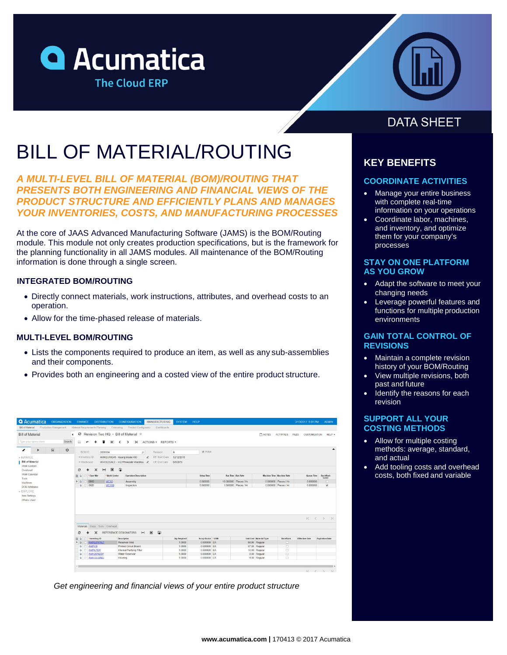



# BILL OF MATERIAL/ROUTING

*A MULTI-LEVEL BILL OF MATERIAL (BOM)/ROUTING THAT PRESENTS BOTH ENGINEERING AND FINANCIAL VIEWS OF THE PRODUCT STRUCTURE AND EFFICIENTLY PLANS AND MANAGES YOUR INVENTORIES, COSTS, AND MANUFACTURING PROCESSES*

At the core of JAAS Advanced Manufacturing Software (JAMS) is the BOM/Routing module. This module not only creates production specifications, but is the framework for the planning functionality in all JAMS modules. All maintenance of the BOM/Routing information is done through a single screen.

### **INTEGRATED BOM/ROUTING**

- Directly connect materials, work instructions, attributes, and overhead costs to an operation.
- Allow for the time-phased release of materials.

### **MULTI-LEVEL BOM/ROUTING**

- Lists the components required to produce an item, as well as any sub-assemblies and their components.
- Provides both an engineering and a costed view of the entire product structure.

| <b>Q</b> Acumatica                  | ORGANIZATION           | <b>FINANCE</b>       |                                                                                                   |                               |                                              |                                                                |                                    |                     |                            |                          |                       |                              |                           |                       |                           |
|-------------------------------------|------------------------|----------------------|---------------------------------------------------------------------------------------------------|-------------------------------|----------------------------------------------|----------------------------------------------------------------|------------------------------------|---------------------|----------------------------|--------------------------|-----------------------|------------------------------|---------------------------|-----------------------|---------------------------|
| <b>Bill of Material</b>             | Production Management  |                      |                                                                                                   |                               |                                              | Material Requirements Planning Estimating Product Configurator | Dashboards                         |                     |                            |                          |                       |                              |                           |                       |                           |
| <b>Bill of Material</b>             |                        | $\blacktriangleleft$ |                                                                                                   |                               |                                              | ○ Revision Two HQ - Bill of Material $\#$                      |                                    |                     |                            |                          |                       | $D$ notes                    | ACTIVITIES FILES          | <b>CUSTOMIZATION</b>  | HELP -                    |
| Type your query here                |                        | Search               | a<br>r                                                                                            | ∙                             | $\mathsf{K}$<br>$\left\langle \right\rangle$ | $\rightarrow$                                                  | >I ACTIONS · REPORTS ·             |                     |                            |                          |                       |                              |                           |                       |                           |
| {<br>$\triangleright$               | $\overline{\text{Id}}$ | $\circ$              | BOM ID:                                                                                           | 0000004                       |                                              | $\Omega$                                                       | Revision:                          | $\mathbb{A}$        | <b>Z</b> Active            |                          |                       |                              |                           |                       |                           |
| $-MANAGE$                           |                        |                      | · Inventory ID:                                                                                   |                               |                                              |                                                                | Eff. Start Date:<br>e              | 12/12/2016          |                            |                          |                       |                              |                           |                       |                           |
| <b>Bill of Material</b>             |                        | * Warehouse:         | AMKEURIG45 - Keurig Model 450<br>WHOLESALE - HQ Wholesale Warehou &<br>Eff. End Date:<br>6/6/2079 |                               |                                              |                                                                |                                    |                     |                            |                          |                       |                              |                           |                       |                           |
| Work Centers                        |                        |                      |                                                                                                   |                               |                                              |                                                                |                                    |                     |                            |                          |                       |                              |                           |                       |                           |
| Overhead                            |                        |                      | c                                                                                                 | $\times$<br> H                | $\boxed{\mathbf{x}}$<br>$\bullet$            |                                                                |                                    |                     |                            |                          |                       |                              |                           |                       |                           |
| Work Calendar<br>Tools              |                        |                      | 图 9<br>* Oper Nbr                                                                                 |                               | * Work Center                                | Operation Description                                          |                                    |                     | Setup Time                 | <b>Run Time Run Rate</b> |                       |                              | Machine Time Machine Rate | Queue Time            | <b>Backflush</b><br>Labor |
|                                     |                        |                      | > 0.1<br>0010                                                                                     |                               | <b>WC10</b>                                  | Assembly                                                       |                                    |                     | 0.000000                   |                          | 10.000000 Pieces / Hr |                              | 0.000000 Pieces / Hr      | 0.000000              | $\Box$                    |
|                                     |                        |                      |                                                                                                   |                               |                                              |                                                                |                                    |                     |                            |                          |                       |                              |                           |                       |                           |
| Machines<br>Item Settings           |                        |                      | 0 <sup>2</sup><br>0020                                                                            |                               | WC100                                        | Inspection                                                     |                                    |                     | 0.000000                   |                          | 1.000000 Pieces / Hr  |                              | 0.000000 Pieces / Hr      | 0.000000              | ×                         |
|                                     |                        |                      |                                                                                                   |                               |                                              |                                                                |                                    |                     |                            |                          |                       |                              |                           |                       |                           |
| <b>BOM Attributes</b><br>Where Used |                        |                      |                                                                                                   |                               |                                              |                                                                |                                    |                     |                            |                          |                       |                              |                           |                       | $ c \tImes x  >  x $      |
|                                     |                        |                      | Materials                                                                                         |                               | Steps Tools Overhead                         |                                                                |                                    |                     |                            |                          |                       |                              |                           |                       |                           |
|                                     |                        |                      | c                                                                                                 | $\times$                      | REFERENCE DESIGNATORS                        |                                                                | $\mathbb{H}$ <b>x</b><br>$\bullet$ |                     |                            |                          |                       |                              |                           |                       |                           |
|                                     |                        |                      | 田日                                                                                                | * Inventory ID                |                                              | <b>Description</b>                                             |                                    | <b>Qty Required</b> | Scrap Factor * UOM         |                          |                       | Unit Cost Material Type      | Backflush                 | <b>Effective Date</b> | <b>Expiration Date</b>    |
|                                     |                        |                      | $\rightarrow$ $\alpha$                                                                            | <b>AMRESVINLT</b>             |                                              | Reservoir Inlet                                                |                                    | 1,0000              | 0.000000 EA                |                          |                       | 58.80 Regular                | D.                        |                       |                           |
|                                     |                        |                      | <b>AMPCB</b><br>$\ddot{u}$                                                                        |                               |                                              | Printed Circuit Board                                          |                                    | 1,0000              | 0.000000 EA                |                          |                       | 37.00 Regular                | $\Box$                    |                       |                           |
|                                     |                        |                      | a                                                                                                 | <b>AMFILTER</b>               |                                              | Internal Purifying Filter                                      |                                    | 1.0000              | 0.000000 EA                |                          |                       | 10.00 Regular                | $\Box$                    |                       |                           |
| - EXPLORE                           |                        |                      | $\mathbf{a}$<br>Ð                                                                                 | AMH20RESV<br><b>AMHOUSING</b> |                                              | <b>Water Reservoir</b><br>Housing                              |                                    | 1,0000<br>1,0000    | 0.000000 EA<br>0.000000 EA |                          |                       | 3.00 Regular<br>4.00 Regular | $\Box$<br>$\Box$          |                       |                           |

*Get engineering and financial views of your entire product structure*

## **DATA SHEET**

### **KEY BENEFITS**

### **COORDINATE ACTIVITIES**

- Manage your entire business with complete real-time information on your operations
- Coordinate labor, machines, and inventory, and optimize them for your company's processes

### **STAY ON ONE PLATFORM AS YOU GROW**

- Adapt the software to meet your changing needs
- Leverage powerful features and functions for multiple production environments

### **GAIN TOTAL CONTROL OF REVISIONS**

- Maintain a complete revision history of your BOM/Routing
- View multiple revisions, both past and future
- Identify the reasons for each revision

### **SUPPORT ALL YOUR COSTING METHODS**

- Allow for multiple costing methods: average, standard, and actual
- Add tooling costs and overhead costs, both fixed and variable